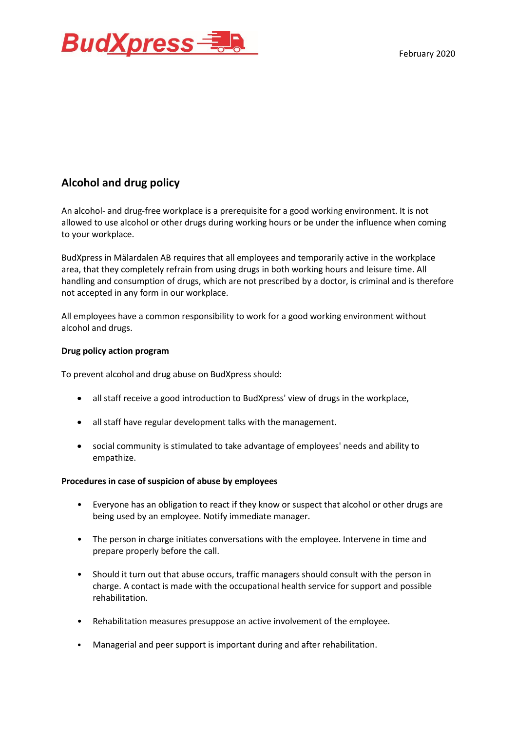

## **Alcohol and drug policy**

An alcohol- and drug-free workplace is a prerequisite for a good working environment. It is not allowed to use alcohol or other drugs during working hours or be under the influence when coming to your workplace.

BudXpress in Mälardalen AB requires that all employees and temporarily active in the workplace area, that they completely refrain from using drugs in both working hours and leisure time. All handling and consumption of drugs, which are not prescribed by a doctor, is criminal and is therefore not accepted in any form in our workplace.

All employees have a common responsibility to work for a good working environment without alcohol and drugs.

## **Drug policy action program**

To prevent alcohol and drug abuse on BudXpress should:

- all staff receive a good introduction to BudXpress' view of drugs in the workplace,
- all staff have regular development talks with the management.
- social community is stimulated to take advantage of employees' needs and ability to empathize.

## **Procedures in case of suspicion of abuse by employees**

- Everyone has an obligation to react if they know or suspect that alcohol or other drugs are being used by an employee. Notify immediate manager.
- The person in charge initiates conversations with the employee. Intervene in time and prepare properly before the call.
- Should it turn out that abuse occurs, traffic managers should consult with the person in charge. A contact is made with the occupational health service for support and possible rehabilitation.
- Rehabilitation measures presuppose an active involvement of the employee.
- Managerial and peer support is important during and after rehabilitation.